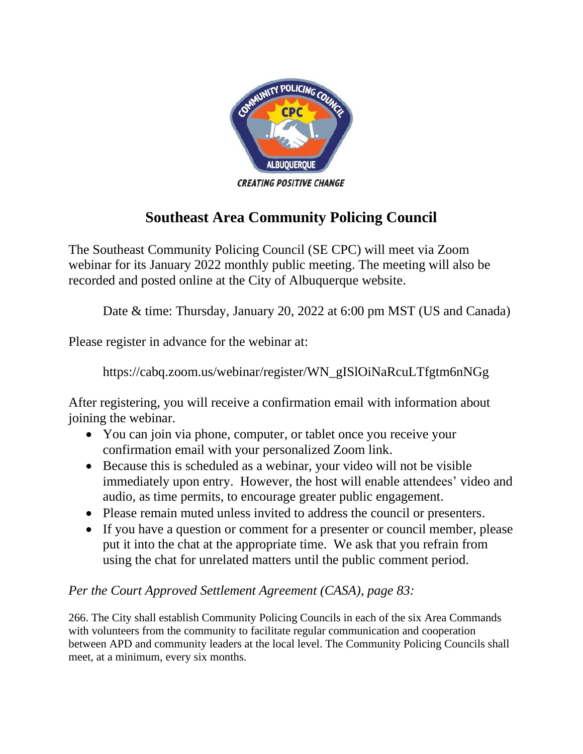

## **Southeast Area Community Policing Council**

The Southeast Community Policing Council (SE CPC) will meet via Zoom webinar for its January 2022 monthly public meeting. The meeting will also be recorded and posted online at the City of Albuquerque website.

Date & time: Thursday, January 20, 2022 at 6:00 pm MST (US and Canada)

Please register in advance for the webinar at:

https://cabq.zoom.us/webinar/register/WN\_gISlOiNaRcuLTfgtm6nNGg

After registering, you will receive a confirmation email with information about joining the webinar.

- You can join via phone, computer, or tablet once you receive your confirmation email with your personalized Zoom link.
- Because this is scheduled as a webinar, your video will not be visible immediately upon entry. However, the host will enable attendees' video and audio, as time permits, to encourage greater public engagement.
- Please remain muted unless invited to address the council or presenters.
- If you have a question or comment for a presenter or council member, please put it into the chat at the appropriate time. We ask that you refrain from using the chat for unrelated matters until the public comment period.

## *Per the Court Approved Settlement Agreement (CASA), page 83:*

266. The City shall establish Community Policing Councils in each of the six Area Commands with volunteers from the community to facilitate regular communication and cooperation between APD and community leaders at the local level. The Community Policing Councils shall meet, at a minimum, every six months.